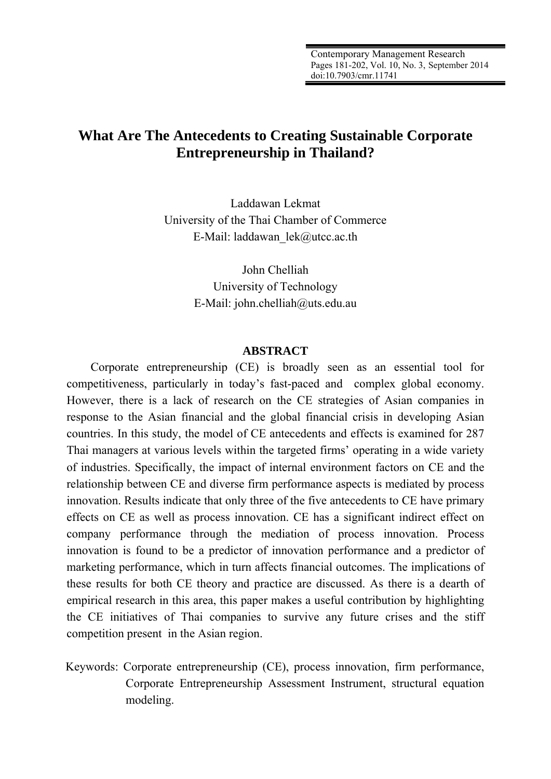Contemporary Management Research Pages 181-202, Vol. 10, No. 3, September 2014 doi:10.7903/cmr.11741

# **What Are The Antecedents to Creating Sustainable Corporate Entrepreneurship in Thailand?**

Laddawan Lekmat University of the Thai Chamber of Commerce E-Mail: laddawan  $\text{lek}(\hat{a})$ utcc.ac.th

> John Chelliah University of Technology E-Mail: john.chelliah@uts.edu.au

### **ABSTRACT**

Corporate entrepreneurship (CE) is broadly seen as an essential tool for competitiveness, particularly in today's fast-paced and complex global economy. However, there is a lack of research on the CE strategies of Asian companies in response to the Asian financial and the global financial crisis in developing Asian countries. In this study, the model of CE antecedents and effects is examined for 287 Thai managers at various levels within the targeted firms' operating in a wide variety of industries. Specifically, the impact of internal environment factors on CE and the relationship between CE and diverse firm performance aspects is mediated by process innovation. Results indicate that only three of the five antecedents to CE have primary effects on CE as well as process innovation. CE has a significant indirect effect on company performance through the mediation of process innovation. Process innovation is found to be a predictor of innovation performance and a predictor of marketing performance, which in turn affects financial outcomes. The implications of these results for both CE theory and practice are discussed. As there is a dearth of empirical research in this area, this paper makes a useful contribution by highlighting the CE initiatives of Thai companies to survive any future crises and the stiff competition present in the Asian region.

Keywords: Corporate entrepreneurship (CE), process innovation, firm performance, Corporate Entrepreneurship Assessment Instrument, structural equation modeling.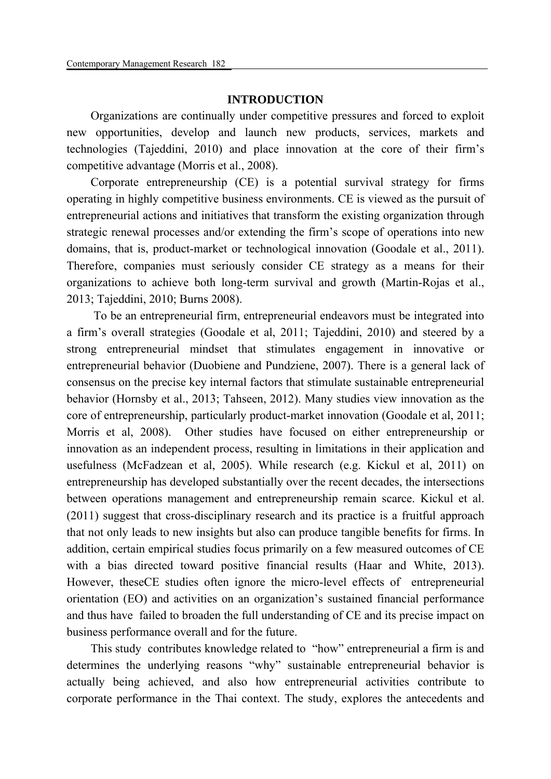# **INTRODUCTION**

Organizations are continually under competitive pressures and forced to exploit new opportunities, develop and launch new products, services, markets and technologies (Tajeddini, 2010) and place innovation at the core of their firm's competitive advantage (Morris et al., 2008).

Corporate entrepreneurship (CE) is a potential survival strategy for firms operating in highly competitive business environments. CE is viewed as the pursuit of entrepreneurial actions and initiatives that transform the existing organization through strategic renewal processes and/or extending the firm's scope of operations into new domains, that is, product-market or technological innovation (Goodale et al., 2011). Therefore, companies must seriously consider CE strategy as a means for their organizations to achieve both long-term survival and growth (Martin-Rojas et al., 2013; Tajeddini, 2010; Burns 2008).

 To be an entrepreneurial firm, entrepreneurial endeavors must be integrated into a firm's overall strategies (Goodale et al, 2011; Tajeddini, 2010) and steered by a strong entrepreneurial mindset that stimulates engagement in innovative or entrepreneurial behavior (Duobiene and Pundziene, 2007). There is a general lack of consensus on the precise key internal factors that stimulate sustainable entrepreneurial behavior (Hornsby et al., 2013; Tahseen, 2012). Many studies view innovation as the core of entrepreneurship, particularly product-market innovation (Goodale et al, 2011; Morris et al, 2008). Other studies have focused on either entrepreneurship or innovation as an independent process, resulting in limitations in their application and usefulness (McFadzean et al, 2005). While research (e.g. Kickul et al, 2011) on entrepreneurship has developed substantially over the recent decades, the intersections between operations management and entrepreneurship remain scarce. Kickul et al. (2011) suggest that cross-disciplinary research and its practice is a fruitful approach that not only leads to new insights but also can produce tangible benefits for firms. In addition, certain empirical studies focus primarily on a few measured outcomes of CE with a bias directed toward positive financial results (Haar and White, 2013). However, theseCE studies often ignore the micro-level effects of entrepreneurial orientation (EO) and activities on an organization's sustained financial performance and thus have failed to broaden the full understanding of CE and its precise impact on business performance overall and for the future.

This study contributes knowledge related to "how" entrepreneurial a firm is and determines the underlying reasons "why" sustainable entrepreneurial behavior is actually being achieved, and also how entrepreneurial activities contribute to corporate performance in the Thai context. The study, explores the antecedents and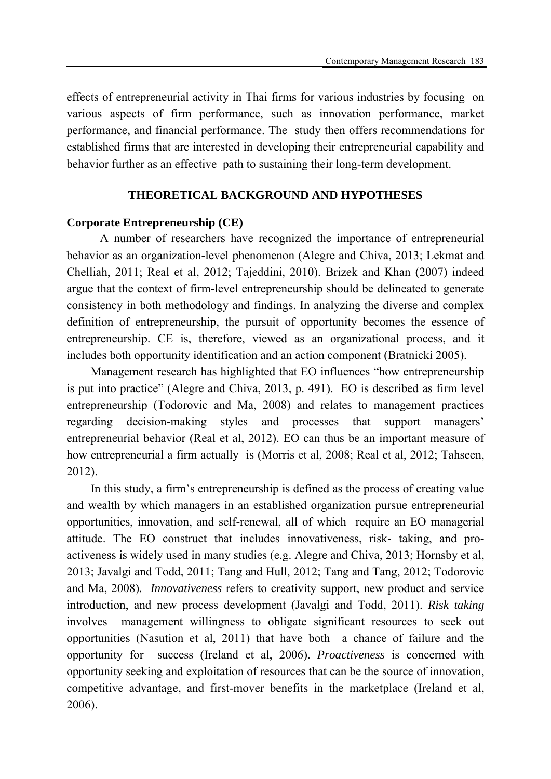effects of entrepreneurial activity in Thai firms for various industries by focusing on various aspects of firm performance, such as innovation performance, market performance, and financial performance. The study then offers recommendations for established firms that are interested in developing their entrepreneurial capability and behavior further as an effective path to sustaining their long-term development.

# **THEORETICAL BACKGROUND AND HYPOTHESES**

# **Corporate Entrepreneurship (CE)**

 A number of researchers have recognized the importance of entrepreneurial behavior as an organization-level phenomenon (Alegre and Chiva, 2013; Lekmat and Chelliah, 2011; Real et al, 2012; Tajeddini, 2010). Brizek and Khan (2007) indeed argue that the context of firm-level entrepreneurship should be delineated to generate consistency in both methodology and findings. In analyzing the diverse and complex definition of entrepreneurship, the pursuit of opportunity becomes the essence of entrepreneurship. CE is, therefore, viewed as an organizational process, and it includes both opportunity identification and an action component (Bratnicki 2005).

Management research has highlighted that EO influences "how entrepreneurship is put into practice" (Alegre and Chiva, 2013, p. 491). EO is described as firm level entrepreneurship (Todorovic and Ma, 2008) and relates to management practices regarding decision-making styles and processes that support managers' entrepreneurial behavior (Real et al, 2012). EO can thus be an important measure of how entrepreneurial a firm actually is (Morris et al, 2008; Real et al, 2012; Tahseen, 2012).

In this study, a firm's entrepreneurship is defined as the process of creating value and wealth by which managers in an established organization pursue entrepreneurial opportunities, innovation, and self-renewal, all of which require an EO managerial attitude. The EO construct that includes innovativeness, risk- taking, and proactiveness is widely used in many studies (e.g. Alegre and Chiva, 2013; Hornsby et al, 2013; Javalgi and Todd, 2011; Tang and Hull, 2012; Tang and Tang, 2012; Todorovic and Ma, 2008)*. Innovativeness* refers to creativity support, new product and service introduction, and new process development (Javalgi and Todd, 2011). *Risk taking*  involves management willingness to obligate significant resources to seek out opportunities (Nasution et al, 2011) that have both a chance of failure and the opportunity for success (Ireland et al, 2006). *Proactiveness* is concerned with opportunity seeking and exploitation of resources that can be the source of innovation, competitive advantage, and first-mover benefits in the marketplace (Ireland et al, 2006).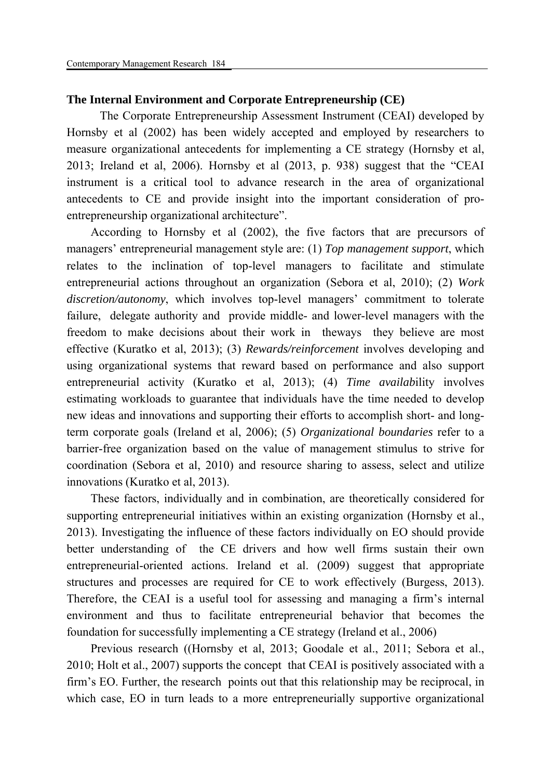# **The Internal Environment and Corporate Entrepreneurship (CE)**

 The Corporate Entrepreneurship Assessment Instrument (CEAI) developed by Hornsby et al (2002) has been widely accepted and employed by researchers to measure organizational antecedents for implementing a CE strategy (Hornsby et al, 2013; Ireland et al, 2006). Hornsby et al (2013, p. 938) suggest that the "CEAI instrument is a critical tool to advance research in the area of organizational antecedents to CE and provide insight into the important consideration of proentrepreneurship organizational architecture".

According to Hornsby et al (2002), the five factors that are precursors of managers' entrepreneurial management style are: (1) *Top management support*, which relates to the inclination of top-level managers to facilitate and stimulate entrepreneurial actions throughout an organization (Sebora et al, 2010); (2) *Work discretion/autonomy*, which involves top-level managers' commitment to tolerate failure, delegate authority and provide middle- and lower-level managers with the freedom to make decisions about their work in theways they believe are most effective (Kuratko et al, 2013); (3) *Rewards/reinforcement* involves developing and using organizational systems that reward based on performance and also support entrepreneurial activity (Kuratko et al, 2013); (4) *Time availab*ility involves estimating workloads to guarantee that individuals have the time needed to develop new ideas and innovations and supporting their efforts to accomplish short- and longterm corporate goals (Ireland et al, 2006); (5) *Organizational boundaries* refer to a barrier-free organization based on the value of management stimulus to strive for coordination (Sebora et al, 2010) and resource sharing to assess, select and utilize innovations (Kuratko et al, 2013).

These factors, individually and in combination, are theoretically considered for supporting entrepreneurial initiatives within an existing organization (Hornsby et al., 2013). Investigating the influence of these factors individually on EO should provide better understanding of the CE drivers and how well firms sustain their own entrepreneurial-oriented actions. Ireland et al. (2009) suggest that appropriate structures and processes are required for CE to work effectively (Burgess, 2013). Therefore, the CEAI is a useful tool for assessing and managing a firm's internal environment and thus to facilitate entrepreneurial behavior that becomes the foundation for successfully implementing a CE strategy (Ireland et al., 2006)

Previous research ((Hornsby et al, 2013; Goodale et al., 2011; Sebora et al., 2010; Holt et al., 2007) supports the concept that CEAI is positively associated with a firm's EO. Further, the research points out that this relationship may be reciprocal, in which case, EO in turn leads to a more entrepreneurially supportive organizational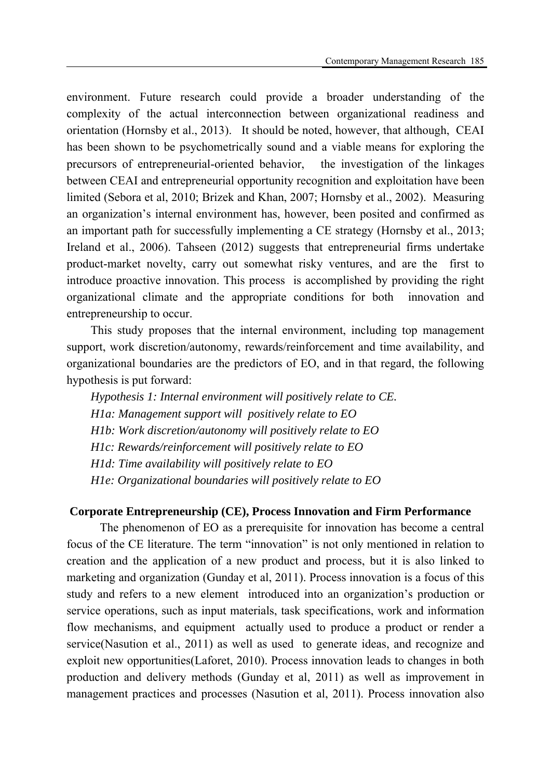environment. Future research could provide a broader understanding of the complexity of the actual interconnection between organizational readiness and orientation (Hornsby et al., 2013). It should be noted, however, that although, CEAI has been shown to be psychometrically sound and a viable means for exploring the precursors of entrepreneurial-oriented behavior, the investigation of the linkages between CEAI and entrepreneurial opportunity recognition and exploitation have been limited (Sebora et al, 2010; Brizek and Khan, 2007; Hornsby et al., 2002). Measuring an organization's internal environment has, however, been posited and confirmed as an important path for successfully implementing a CE strategy (Hornsby et al., 2013; Ireland et al., 2006). Tahseen (2012) suggests that entrepreneurial firms undertake product-market novelty, carry out somewhat risky ventures, and are the first to introduce proactive innovation. This process is accomplished by providing the right organizational climate and the appropriate conditions for both innovation and entrepreneurship to occur.

This study proposes that the internal environment, including top management support, work discretion/autonomy, rewards/reinforcement and time availability, and organizational boundaries are the predictors of EO, and in that regard, the following hypothesis is put forward:

*Hypothesis 1: Internal environment will positively relate to CE.* 

*H1a: Management support will positively relate to EO* 

*H1b: Work discretion/autonomy will positively relate to EO* 

*H1c: Rewards/reinforcement will positively relate to EO* 

*H1d: Time availability will positively relate to EO* 

*H1e: Organizational boundaries will positively relate to EO* 

# **Corporate Entrepreneurship (CE), Process Innovation and Firm Performance**

 The phenomenon of EO as a prerequisite for innovation has become a central focus of the CE literature. The term "innovation" is not only mentioned in relation to creation and the application of a new product and process, but it is also linked to marketing and organization (Gunday et al, 2011). Process innovation is a focus of this study and refers to a new element introduced into an organization's production or service operations, such as input materials, task specifications, work and information flow mechanisms, and equipment actually used to produce a product or render a service(Nasution et al., 2011) as well as used to generate ideas, and recognize and exploit new opportunities(Laforet, 2010). Process innovation leads to changes in both production and delivery methods (Gunday et al, 2011) as well as improvement in management practices and processes (Nasution et al, 2011). Process innovation also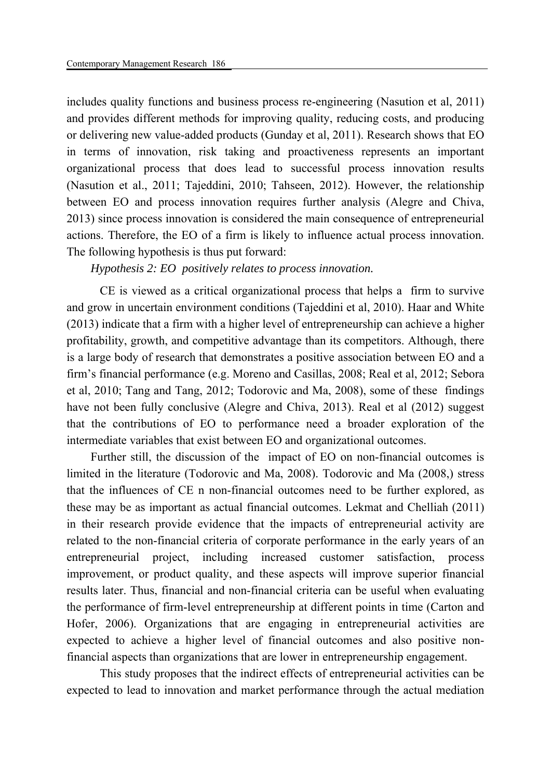includes quality functions and business process re-engineering (Nasution et al, 2011) and provides different methods for improving quality, reducing costs, and producing or delivering new value-added products (Gunday et al, 2011). Research shows that EO in terms of innovation, risk taking and proactiveness represents an important organizational process that does lead to successful process innovation results (Nasution et al., 2011; Tajeddini, 2010; Tahseen, 2012). However, the relationship between EO and process innovation requires further analysis (Alegre and Chiva, 2013) since process innovation is considered the main consequence of entrepreneurial actions. Therefore, the EO of a firm is likely to influence actual process innovation. The following hypothesis is thus put forward:

*Hypothesis 2: EO positively relates to process innovation.* 

 CE is viewed as a critical organizational process that helps a firm to survive and grow in uncertain environment conditions (Tajeddini et al, 2010). Haar and White (2013) indicate that a firm with a higher level of entrepreneurship can achieve a higher profitability, growth, and competitive advantage than its competitors. Although, there is a large body of research that demonstrates a positive association between EO and a firm's financial performance (e.g. Moreno and Casillas, 2008; Real et al, 2012; Sebora et al, 2010; Tang and Tang, 2012; Todorovic and Ma, 2008), some of these findings have not been fully conclusive (Alegre and Chiva, 2013). Real et al (2012) suggest that the contributions of EO to performance need a broader exploration of the intermediate variables that exist between EO and organizational outcomes.

Further still, the discussion of the impact of EO on non-financial outcomes is limited in the literature (Todorovic and Ma, 2008). Todorovic and Ma (2008,) stress that the influences of CE n non-financial outcomes need to be further explored, as these may be as important as actual financial outcomes. Lekmat and Chelliah (2011) in their research provide evidence that the impacts of entrepreneurial activity are related to the non-financial criteria of corporate performance in the early years of an entrepreneurial project, including increased customer satisfaction, process improvement, or product quality, and these aspects will improve superior financial results later. Thus, financial and non-financial criteria can be useful when evaluating the performance of firm-level entrepreneurship at different points in time (Carton and Hofer, 2006). Organizations that are engaging in entrepreneurial activities are expected to achieve a higher level of financial outcomes and also positive nonfinancial aspects than organizations that are lower in entrepreneurship engagement.

 This study proposes that the indirect effects of entrepreneurial activities can be expected to lead to innovation and market performance through the actual mediation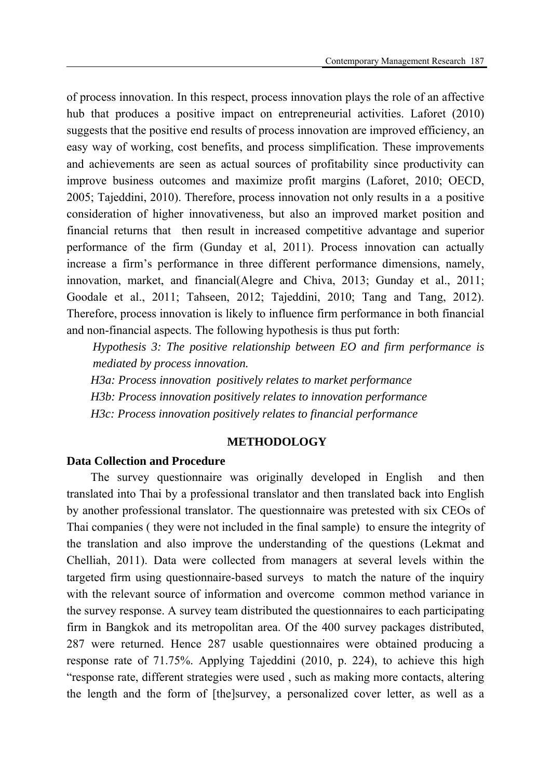of process innovation. In this respect, process innovation plays the role of an affective hub that produces a positive impact on entrepreneurial activities. Laforet (2010) suggests that the positive end results of process innovation are improved efficiency, an easy way of working, cost benefits, and process simplification. These improvements and achievements are seen as actual sources of profitability since productivity can improve business outcomes and maximize profit margins (Laforet, 2010; OECD, 2005; Tajeddini, 2010). Therefore, process innovation not only results in a a positive consideration of higher innovativeness, but also an improved market position and financial returns that then result in increased competitive advantage and superior performance of the firm (Gunday et al, 2011). Process innovation can actually increase a firm's performance in three different performance dimensions, namely, innovation, market, and financial(Alegre and Chiva, 2013; Gunday et al., 2011; Goodale et al., 2011; Tahseen, 2012; Tajeddini, 2010; Tang and Tang, 2012). Therefore, process innovation is likely to influence firm performance in both financial and non-financial aspects. The following hypothesis is thus put forth:

*Hypothesis 3: The positive relationship between EO and firm performance is mediated by process innovation.* 

*H3a: Process innovation positively relates to market performance H3b: Process innovation positively relates to innovation performance H3c: Process innovation positively relates to financial performance* 

# **METHODOLOGY**

# **Data Collection and Procedure**

The survey questionnaire was originally developed in English and then translated into Thai by a professional translator and then translated back into English by another professional translator. The questionnaire was pretested with six CEOs of Thai companies ( they were not included in the final sample) to ensure the integrity of the translation and also improve the understanding of the questions (Lekmat and Chelliah, 2011). Data were collected from managers at several levels within the targeted firm using questionnaire-based surveys to match the nature of the inquiry with the relevant source of information and overcome common method variance in the survey response. A survey team distributed the questionnaires to each participating firm in Bangkok and its metropolitan area. Of the 400 survey packages distributed, 287 were returned. Hence 287 usable questionnaires were obtained producing a response rate of 71.75%. Applying Tajeddini (2010, p. 224), to achieve this high "response rate, different strategies were used , such as making more contacts, altering the length and the form of [the]survey, a personalized cover letter, as well as a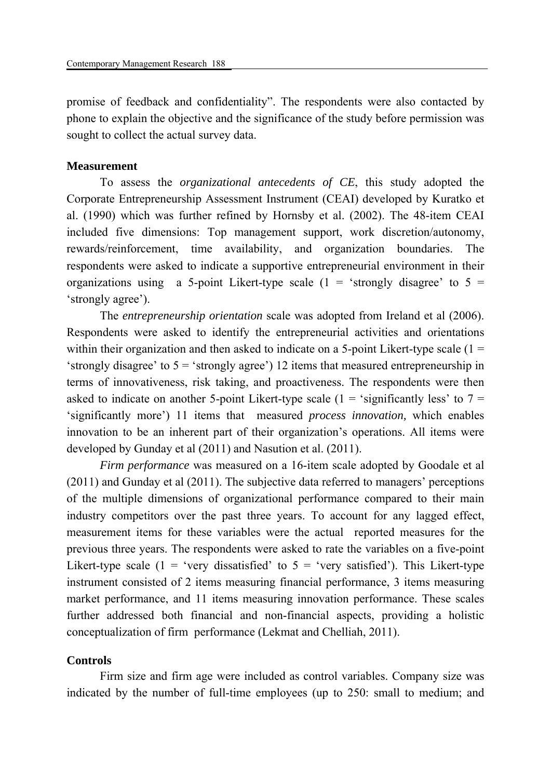promise of feedback and confidentiality". The respondents were also contacted by phone to explain the objective and the significance of the study before permission was sought to collect the actual survey data.

# **Measurement**

 To assess the *organizational antecedents of CE*, this study adopted the Corporate Entrepreneurship Assessment Instrument (CEAI) developed by Kuratko et al. (1990) which was further refined by Hornsby et al. (2002). The 48-item CEAI included five dimensions: Top management support, work discretion/autonomy, rewards/reinforcement, time availability, and organization boundaries. The respondents were asked to indicate a supportive entrepreneurial environment in their organizations using a 5-point Likert-type scale  $(1 - \text{^\circ strongly}$  disagree' to  $5 =$ 'strongly agree').

 The *entrepreneurship orientation* scale was adopted from Ireland et al (2006). Respondents were asked to identify the entrepreneurial activities and orientations within their organization and then asked to indicate on a 5-point Likert-type scale  $(1 =$ 'strongly disagree' to  $5 =$  'strongly agree') 12 items that measured entrepreneurship in terms of innovativeness, risk taking, and proactiveness. The respondents were then asked to indicate on another 5-point Likert-type scale ( $1 =$  'significantly less' to  $7 =$ 'significantly more') 11 items that measured *process innovation,* which enables innovation to be an inherent part of their organization's operations. All items were developed by Gunday et al (2011) and Nasution et al. (2011).

*Firm performance* was measured on a 16-item scale adopted by Goodale et al (2011) and Gunday et al (2011). The subjective data referred to managers' perceptions of the multiple dimensions of organizational performance compared to their main industry competitors over the past three years. To account for any lagged effect, measurement items for these variables were the actual reported measures for the previous three years. The respondents were asked to rate the variables on a five-point Likert-type scale (1 = 'very dissatisfied' to  $5 =$  'very satisfied'). This Likert-type instrument consisted of 2 items measuring financial performance, 3 items measuring market performance, and 11 items measuring innovation performance. These scales further addressed both financial and non-financial aspects, providing a holistic conceptualization of firm performance (Lekmat and Chelliah, 2011).

#### **Controls**

 Firm size and firm age were included as control variables. Company size was indicated by the number of full-time employees (up to 250: small to medium; and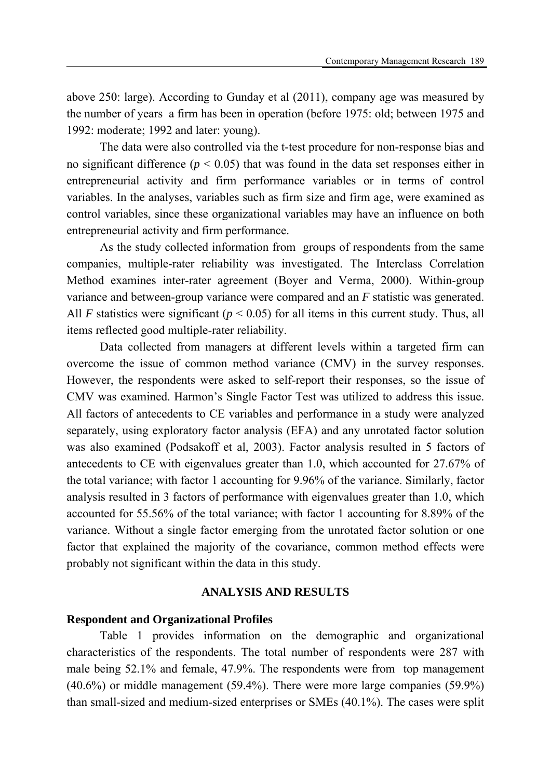above 250: large). According to Gunday et al (2011), company age was measured by the number of years a firm has been in operation (before 1975: old; between 1975 and 1992: moderate; 1992 and later: young).

 The data were also controlled via the t-test procedure for non-response bias and no significant difference ( $p < 0.05$ ) that was found in the data set responses either in entrepreneurial activity and firm performance variables or in terms of control variables. In the analyses, variables such as firm size and firm age, were examined as control variables, since these organizational variables may have an influence on both entrepreneurial activity and firm performance.

 As the study collected information from groups of respondents from the same companies, multiple-rater reliability was investigated. The Interclass Correlation Method examines inter-rater agreement (Boyer and Verma, 2000). Within-group variance and between-group variance were compared and an *F* statistic was generated. All *F* statistics were significant ( $p < 0.05$ ) for all items in this current study. Thus, all items reflected good multiple-rater reliability.

 Data collected from managers at different levels within a targeted firm can overcome the issue of common method variance (CMV) in the survey responses. However, the respondents were asked to self-report their responses, so the issue of CMV was examined. Harmon's Single Factor Test was utilized to address this issue. All factors of antecedents to CE variables and performance in a study were analyzed separately, using exploratory factor analysis (EFA) and any unrotated factor solution was also examined (Podsakoff et al, 2003). Factor analysis resulted in 5 factors of antecedents to CE with eigenvalues greater than 1.0, which accounted for 27.67% of the total variance; with factor 1 accounting for 9.96% of the variance. Similarly, factor analysis resulted in 3 factors of performance with eigenvalues greater than 1.0, which accounted for 55.56% of the total variance; with factor 1 accounting for 8.89% of the variance. Without a single factor emerging from the unrotated factor solution or one factor that explained the majority of the covariance, common method effects were probably not significant within the data in this study.

# **ANALYSIS AND RESULTS**

# **Respondent and Organizational Profiles**

 Table 1 provides information on the demographic and organizational characteristics of the respondents. The total number of respondents were 287 with male being 52.1% and female, 47.9%. The respondents were from top management (40.6%) or middle management (59.4%). There were more large companies (59.9%) than small-sized and medium-sized enterprises or SMEs (40.1%). The cases were split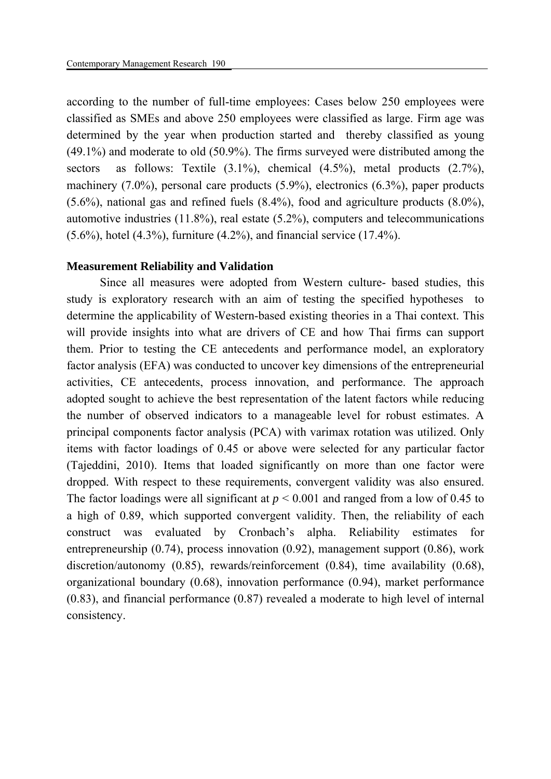according to the number of full-time employees: Cases below 250 employees were classified as SMEs and above 250 employees were classified as large. Firm age was determined by the year when production started and thereby classified as young (49.1%) and moderate to old (50.9%). The firms surveyed were distributed among the sectors as follows: Textile  $(3.1\%)$ , chemical  $(4.5\%)$ , metal products  $(2.7\%)$ , machinery (7.0%), personal care products (5.9%), electronics (6.3%), paper products (5.6%), national gas and refined fuels (8.4%), food and agriculture products (8.0%), automotive industries (11.8%), real estate (5.2%), computers and telecommunications (5.6%), hotel (4.3%), furniture (4.2%), and financial service (17.4%).

### **Measurement Reliability and Validation**

 Since all measures were adopted from Western culture- based studies, this study is exploratory research with an aim of testing the specified hypotheses to determine the applicability of Western-based existing theories in a Thai context. This will provide insights into what are drivers of CE and how Thai firms can support them. Prior to testing the CE antecedents and performance model, an exploratory factor analysis (EFA) was conducted to uncover key dimensions of the entrepreneurial activities, CE antecedents, process innovation, and performance. The approach adopted sought to achieve the best representation of the latent factors while reducing the number of observed indicators to a manageable level for robust estimates. A principal components factor analysis (PCA) with varimax rotation was utilized. Only items with factor loadings of 0.45 or above were selected for any particular factor (Tajeddini, 2010). Items that loaded significantly on more than one factor were dropped. With respect to these requirements, convergent validity was also ensured. The factor loadings were all significant at  $p \le 0.001$  and ranged from a low of 0.45 to a high of 0.89, which supported convergent validity. Then, the reliability of each construct was evaluated by Cronbach's alpha. Reliability estimates for entrepreneurship (0.74), process innovation (0.92), management support (0.86), work discretion/autonomy (0.85), rewards/reinforcement (0.84), time availability (0.68), organizational boundary (0.68), innovation performance (0.94), market performance (0.83), and financial performance (0.87) revealed a moderate to high level of internal consistency.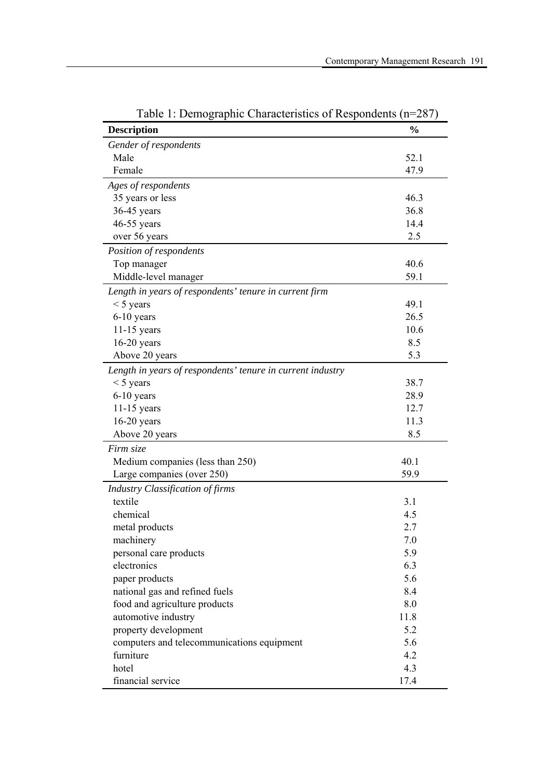| <b>Description</b>                                         | $\%$ |
|------------------------------------------------------------|------|
| Gender of respondents                                      |      |
| Male                                                       | 52.1 |
| Female                                                     | 47.9 |
| Ages of respondents                                        |      |
| 35 years or less                                           | 46.3 |
| $36-45$ years                                              | 36.8 |
| $46-55$ years                                              | 14.4 |
| over 56 years                                              | 2.5  |
| Position of respondents                                    |      |
| Top manager                                                | 40.6 |
| Middle-level manager                                       | 59.1 |
| Length in years of respondents' tenure in current firm     |      |
| $<$ 5 years                                                | 49.1 |
| $6-10$ years                                               | 26.5 |
| 11-15 years                                                | 10.6 |
| $16-20$ years                                              | 8.5  |
| Above 20 years                                             | 5.3  |
| Length in years of respondents' tenure in current industry |      |
| $<$ 5 years                                                | 38.7 |
| 6-10 years                                                 | 28.9 |
| $11-15$ years                                              | 12.7 |
| $16-20$ years                                              | 11.3 |
| Above 20 years                                             | 8.5  |
| Firm size                                                  |      |
| Medium companies (less than 250)                           | 40.1 |
| Large companies (over 250)                                 | 59.9 |
| <b>Industry Classification of firms</b>                    |      |
| textile                                                    | 3.1  |
| chemical                                                   | 4.5  |
| metal products                                             | 2.7  |
| machinery                                                  | 7.0  |
| personal care products                                     | 5.9  |
| electronics                                                | 6.3  |
| paper products                                             | 5.6  |
| national gas and refined fuels                             | 8.4  |
| food and agriculture products                              | 8.0  |
| automotive industry                                        | 11.8 |
| property development                                       | 5.2  |
| computers and telecommunications equipment                 | 5.6  |
| furniture                                                  | 4.2  |
| hotel                                                      | 4.3  |
| financial service                                          | 17.4 |

Table 1: Demographic Characteristics of Respondents (n=287)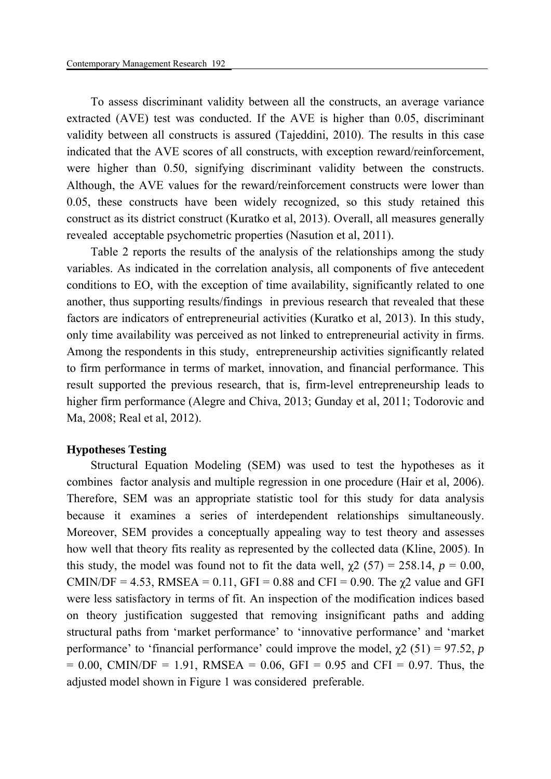To assess discriminant validity between all the constructs, an average variance extracted (AVE) test was conducted. If the AVE is higher than 0.05, discriminant validity between all constructs is assured (Tajeddini, 2010). The results in this case indicated that the AVE scores of all constructs, with exception reward/reinforcement, were higher than 0.50, signifying discriminant validity between the constructs. Although, the AVE values for the reward/reinforcement constructs were lower than 0.05, these constructs have been widely recognized, so this study retained this construct as its district construct (Kuratko et al, 2013). Overall, all measures generally revealed acceptable psychometric properties (Nasution et al, 2011).

Table 2 reports the results of the analysis of the relationships among the study variables. As indicated in the correlation analysis, all components of five antecedent conditions to EO, with the exception of time availability, significantly related to one another, thus supporting results/findings in previous research that revealed that these factors are indicators of entrepreneurial activities (Kuratko et al, 2013). In this study, only time availability was perceived as not linked to entrepreneurial activity in firms. Among the respondents in this study, entrepreneurship activities significantly related to firm performance in terms of market, innovation, and financial performance. This result supported the previous research, that is, firm-level entrepreneurship leads to higher firm performance (Alegre and Chiva, 2013; Gunday et al, 2011; Todorovic and Ma, 2008; Real et al, 2012).

# **Hypotheses Testing**

Structural Equation Modeling (SEM) was used to test the hypotheses as it combines factor analysis and multiple regression in one procedure (Hair et al, 2006). Therefore, SEM was an appropriate statistic tool for this study for data analysis because it examines a series of interdependent relationships simultaneously. Moreover, SEM provides a conceptually appealing way to test theory and assesses how well that theory fits reality as represented by the collected data (Kline, 2005). In this study, the model was found not to fit the data well,  $\chi$ 2 (57) = 258.14, *p* = 0.00, CMIN/DF = 4.53, RMSEA = 0.11, GFI = 0.88 and CFI = 0.90. The  $\gamma$ 2 value and GFI were less satisfactory in terms of fit. An inspection of the modification indices based on theory justification suggested that removing insignificant paths and adding structural paths from 'market performance' to 'innovative performance' and 'market performance' to 'financial performance' could improve the model,  $\chi$ 2 (51) = 97.52, *p*  $= 0.00$ , CMIN/DF = 1.91, RMSEA = 0.06, GFI = 0.95 and CFI = 0.97. Thus, the adjusted model shown in Figure 1 was considered preferable.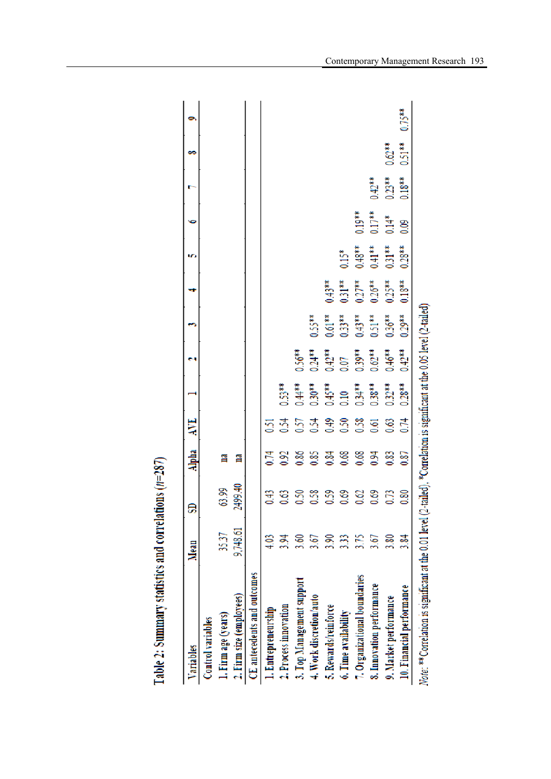| Variables                                             | Mean           | ౚ                                                                    | Alpha | AVE                 |                                         |                                      |                                 |                                                          | u,                                               | 0                                                                      |                      | ∞        |          |
|-------------------------------------------------------|----------------|----------------------------------------------------------------------|-------|---------------------|-----------------------------------------|--------------------------------------|---------------------------------|----------------------------------------------------------|--------------------------------------------------|------------------------------------------------------------------------|----------------------|----------|----------|
| Control variables                                     |                |                                                                      |       |                     |                                         |                                      |                                 |                                                          |                                                  |                                                                        |                      |          |          |
| 1. Firm age (years)                                   | 35.37          | 63.99                                                                | គី    |                     |                                         |                                      |                                 |                                                          |                                                  |                                                                        |                      |          |          |
| . Firm size (employees)                               | 9.748.61       | 2499.40                                                              | គី    |                     |                                         |                                      |                                 |                                                          |                                                  |                                                                        |                      |          |          |
| CE antecedents and outcomes                           |                |                                                                      |       |                     |                                         |                                      |                                 |                                                          |                                                  |                                                                        |                      |          |          |
| 1. Entrepreneurship                                   | $\frac{63}{4}$ | $\mathbf{6}$                                                         | 0.74  | 0.51                |                                         |                                      |                                 |                                                          |                                                  |                                                                        |                      |          |          |
| 2. Process innovation                                 | $\frac{34}{5}$ |                                                                      | 0.92  |                     | $0.53**$                                |                                      |                                 |                                                          |                                                  |                                                                        |                      |          |          |
| 3. Top Management support                             |                | 3333333                                                              | 0.86  | 35333               |                                         | $0.56***$                            |                                 |                                                          |                                                  |                                                                        |                      |          |          |
| 4. Work discretion/auto                               | <u>[9</u>      |                                                                      | 0.85  |                     |                                         |                                      | $0.55***$                       |                                                          |                                                  |                                                                        |                      |          |          |
| 5. Rewards/reinforce                                  | $\frac{8}{3}$  |                                                                      | 0.83  |                     |                                         |                                      |                                 |                                                          |                                                  |                                                                        |                      |          |          |
| 6. Time availability                                  | 333            |                                                                      |       |                     | 4##<br>030#<br>045#<br>03032#<br>03032# | $0.24**$<br>0.42**<br>0.07<br>0.62** | ##<br>0.33#<br>0.51 55<br>0.36# | $0.43**$<br>$0.31**$<br>$0.25**$<br>$0.25**$<br>$0.18**$ | $0.15*$                                          |                                                                        |                      |          |          |
| 7. Organizational boundaries                          | 3.75           |                                                                      | 0.68  | $\frac{0.58}{0.61}$ |                                         |                                      |                                 |                                                          |                                                  |                                                                        |                      |          |          |
| 8. Innovation performance                             | 3.67           |                                                                      | 0.94  |                     |                                         |                                      |                                 |                                                          |                                                  | $0.19$ <sup>\$\$\$</sup><br>0.17 <sup>\$\$</sup><br>0.14 <sup>\$</sup> | $0.42**$             |          |          |
| 9. Market performance                                 | 3.80           | 0.73                                                                 | 0.83  | 0.63                |                                         | $0.46**$                             |                                 |                                                          | $0.48$ **<br>$0.41$ **<br>$0.31$ **<br>$0.28$ ** |                                                                        | $0.23**$             | $0.62**$ |          |
| 10. Financial performance                             | 3.84           | 0.80                                                                 | 0.87  | 0.74                |                                         | $0.42**$                             | $0.29***$                       |                                                          |                                                  | 0.09                                                                   | $0.18$ <sup>**</sup> | $0.51**$ | $0.75**$ |
| Note: ** Correlation is significant at the 0.01 level |                | (2-tailed), *Correlation is significant at the 0.05 level (2-tailed) |       |                     |                                         |                                      |                                 |                                                          |                                                  |                                                                        |                      |          |          |

Table 2: Summary statistics and correlations  $(n=287)$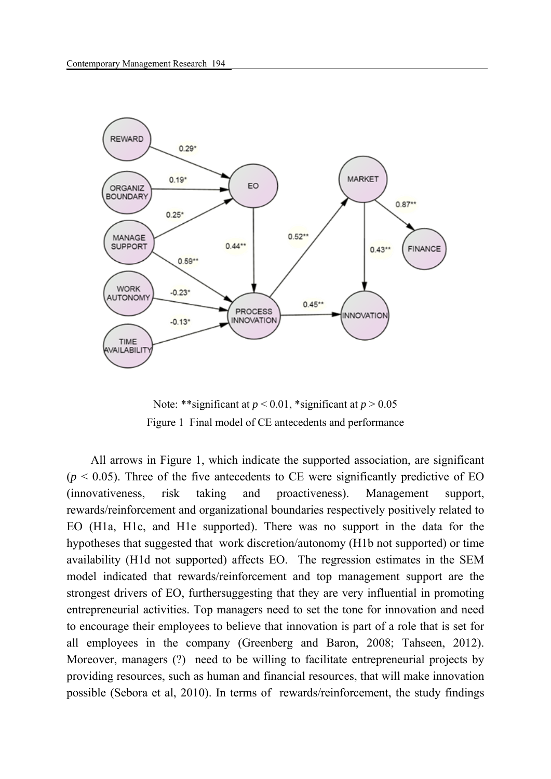

Note: \*\*significant at  $p < 0.01$ , \*significant at  $p > 0.05$ Figure 1 Final model of CE antecedents and performance

All arrows in Figure 1, which indicate the supported association, are significant  $(p < 0.05)$ . Three of the five antecedents to CE were significantly predictive of EO (innovativeness, risk taking and proactiveness). Management support, rewards/reinforcement and organizational boundaries respectively positively related to EO (H1a, H1c, and H1e supported). There was no support in the data for the hypotheses that suggested that work discretion/autonomy (H1b not supported) or time availability (H1d not supported) affects EO. The regression estimates in the SEM model indicated that rewards/reinforcement and top management support are the strongest drivers of EO, furthersuggesting that they are very influential in promoting entrepreneurial activities. Top managers need to set the tone for innovation and need to encourage their employees to believe that innovation is part of a role that is set for all employees in the company (Greenberg and Baron, 2008; Tahseen, 2012). Moreover, managers (?) need to be willing to facilitate entrepreneurial projects by providing resources, such as human and financial resources, that will make innovation possible (Sebora et al, 2010). In terms of rewards/reinforcement, the study findings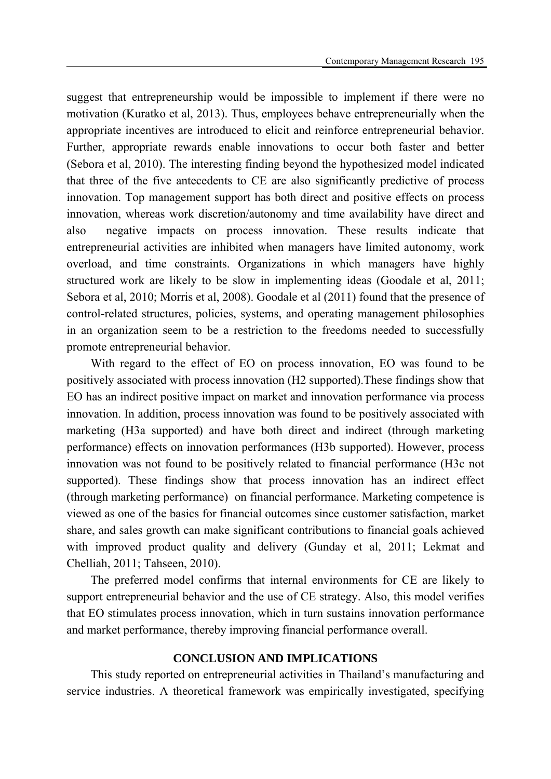suggest that entrepreneurship would be impossible to implement if there were no motivation (Kuratko et al, 2013). Thus, employees behave entrepreneurially when the appropriate incentives are introduced to elicit and reinforce entrepreneurial behavior. Further, appropriate rewards enable innovations to occur both faster and better (Sebora et al, 2010). The interesting finding beyond the hypothesized model indicated that three of the five antecedents to CE are also significantly predictive of process innovation. Top management support has both direct and positive effects on process innovation, whereas work discretion/autonomy and time availability have direct and also negative impacts on process innovation. These results indicate that entrepreneurial activities are inhibited when managers have limited autonomy, work overload, and time constraints. Organizations in which managers have highly structured work are likely to be slow in implementing ideas (Goodale et al, 2011; Sebora et al, 2010; Morris et al, 2008). Goodale et al (2011) found that the presence of control-related structures, policies, systems, and operating management philosophies in an organization seem to be a restriction to the freedoms needed to successfully promote entrepreneurial behavior.

With regard to the effect of EO on process innovation, EO was found to be positively associated with process innovation (H2 supported).These findings show that EO has an indirect positive impact on market and innovation performance via process innovation. In addition, process innovation was found to be positively associated with marketing (H3a supported) and have both direct and indirect (through marketing performance) effects on innovation performances (H3b supported). However, process innovation was not found to be positively related to financial performance (H3c not supported). These findings show that process innovation has an indirect effect (through marketing performance) on financial performance. Marketing competence is viewed as one of the basics for financial outcomes since customer satisfaction, market share, and sales growth can make significant contributions to financial goals achieved with improved product quality and delivery (Gunday et al, 2011; Lekmat and Chelliah, 2011; Tahseen, 2010).

The preferred model confirms that internal environments for CE are likely to support entrepreneurial behavior and the use of CE strategy. Also, this model verifies that EO stimulates process innovation, which in turn sustains innovation performance and market performance, thereby improving financial performance overall.

# **CONCLUSION AND IMPLICATIONS**

This study reported on entrepreneurial activities in Thailand's manufacturing and service industries. A theoretical framework was empirically investigated, specifying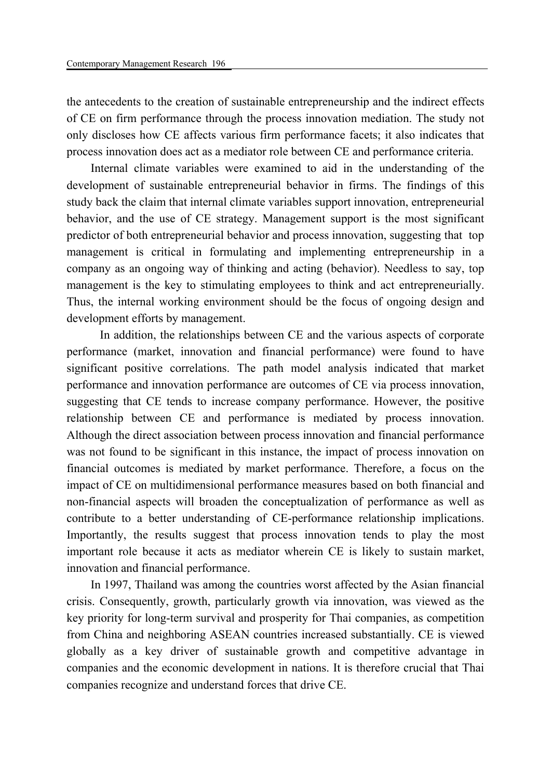the antecedents to the creation of sustainable entrepreneurship and the indirect effects of CE on firm performance through the process innovation mediation. The study not only discloses how CE affects various firm performance facets; it also indicates that process innovation does act as a mediator role between CE and performance criteria.

Internal climate variables were examined to aid in the understanding of the development of sustainable entrepreneurial behavior in firms. The findings of this study back the claim that internal climate variables support innovation, entrepreneurial behavior, and the use of CE strategy. Management support is the most significant predictor of both entrepreneurial behavior and process innovation, suggesting that top management is critical in formulating and implementing entrepreneurship in a company as an ongoing way of thinking and acting (behavior). Needless to say, top management is the key to stimulating employees to think and act entrepreneurially. Thus, the internal working environment should be the focus of ongoing design and development efforts by management.

 In addition, the relationships between CE and the various aspects of corporate performance (market, innovation and financial performance) were found to have significant positive correlations. The path model analysis indicated that market performance and innovation performance are outcomes of CE via process innovation, suggesting that CE tends to increase company performance. However, the positive relationship between CE and performance is mediated by process innovation. Although the direct association between process innovation and financial performance was not found to be significant in this instance, the impact of process innovation on financial outcomes is mediated by market performance. Therefore, a focus on the impact of CE on multidimensional performance measures based on both financial and non-financial aspects will broaden the conceptualization of performance as well as contribute to a better understanding of CE-performance relationship implications. Importantly, the results suggest that process innovation tends to play the most important role because it acts as mediator wherein CE is likely to sustain market, innovation and financial performance.

In 1997, Thailand was among the countries worst affected by the Asian financial crisis. Consequently, growth, particularly growth via innovation, was viewed as the key priority for long-term survival and prosperity for Thai companies, as competition from China and neighboring ASEAN countries increased substantially. CE is viewed globally as a key driver of sustainable growth and competitive advantage in companies and the economic development in nations. It is therefore crucial that Thai companies recognize and understand forces that drive CE.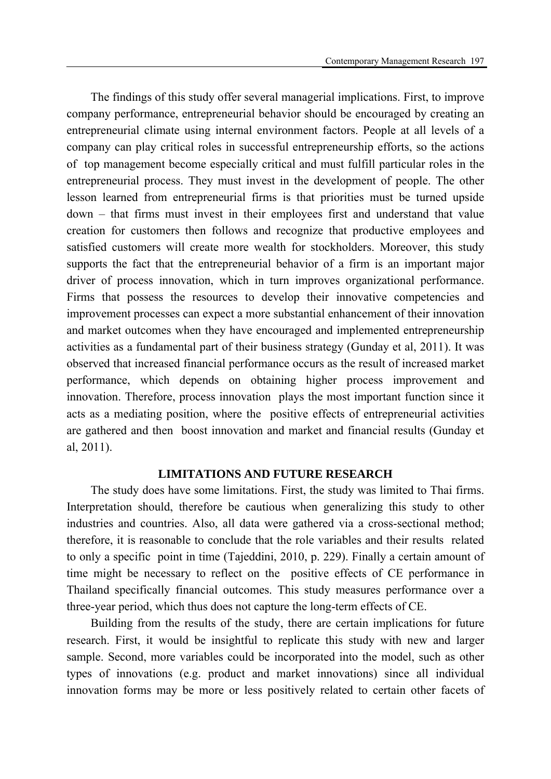The findings of this study offer several managerial implications. First, to improve company performance, entrepreneurial behavior should be encouraged by creating an entrepreneurial climate using internal environment factors. People at all levels of a company can play critical roles in successful entrepreneurship efforts, so the actions of top management become especially critical and must fulfill particular roles in the entrepreneurial process. They must invest in the development of people. The other lesson learned from entrepreneurial firms is that priorities must be turned upside down – that firms must invest in their employees first and understand that value creation for customers then follows and recognize that productive employees and satisfied customers will create more wealth for stockholders. Moreover, this study supports the fact that the entrepreneurial behavior of a firm is an important major driver of process innovation, which in turn improves organizational performance. Firms that possess the resources to develop their innovative competencies and improvement processes can expect a more substantial enhancement of their innovation and market outcomes when they have encouraged and implemented entrepreneurship activities as a fundamental part of their business strategy (Gunday et al, 2011). It was observed that increased financial performance occurs as the result of increased market performance, which depends on obtaining higher process improvement and innovation. Therefore, process innovation plays the most important function since it acts as a mediating position, where the positive effects of entrepreneurial activities are gathered and then boost innovation and market and financial results (Gunday et al, 2011).

# **LIMITATIONS AND FUTURE RESEARCH**

The study does have some limitations. First, the study was limited to Thai firms. Interpretation should, therefore be cautious when generalizing this study to other industries and countries. Also, all data were gathered via a cross-sectional method; therefore, it is reasonable to conclude that the role variables and their results related to only a specific point in time (Tajeddini, 2010, p. 229). Finally a certain amount of time might be necessary to reflect on the positive effects of CE performance in Thailand specifically financial outcomes. This study measures performance over a three-year period, which thus does not capture the long-term effects of CE.

Building from the results of the study, there are certain implications for future research. First, it would be insightful to replicate this study with new and larger sample. Second, more variables could be incorporated into the model, such as other types of innovations (e.g. product and market innovations) since all individual innovation forms may be more or less positively related to certain other facets of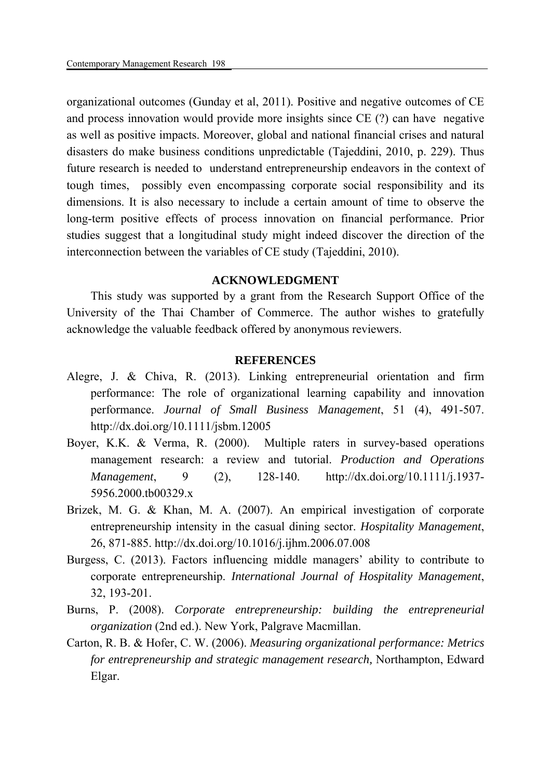organizational outcomes (Gunday et al, 2011). Positive and negative outcomes of CE and process innovation would provide more insights since CE (?) can have negative as well as positive impacts. Moreover, global and national financial crises and natural disasters do make business conditions unpredictable (Tajeddini, 2010, p. 229). Thus future research is needed to understand entrepreneurship endeavors in the context of tough times, possibly even encompassing corporate social responsibility and its dimensions. It is also necessary to include a certain amount of time to observe the long-term positive effects of process innovation on financial performance. Prior studies suggest that a longitudinal study might indeed discover the direction of the interconnection between the variables of CE study (Tajeddini, 2010).

### **ACKNOWLEDGMENT**

This study was supported by a grant from the Research Support Office of the University of the Thai Chamber of Commerce. The author wishes to gratefully acknowledge the valuable feedback offered by anonymous reviewers.

# **REFERENCES**

- Alegre, J. & Chiva, R. (2013). Linking entrepreneurial orientation and firm performance: The role of organizational learning capability and innovation performance. *Journal of Small Business Management*, 51 (4), 491-507. http://dx.doi.org/10.1111/jsbm.12005
- Boyer, K.K. & Verma, R. (2000). Multiple raters in survey-based operations management research: a review and tutorial. *Production and Operations Management*, 9 (2), 128-140. http://dx.doi.org/10.1111/j.1937- 5956.2000.tb00329.x
- Brizek, M. G. & Khan, M. A. (2007). An empirical investigation of corporate entrepreneurship intensity in the casual dining sector. *Hospitality Management*, 26, 871-885. http://dx.doi.org/10.1016/j.ijhm.2006.07.008
- Burgess, C. (2013). Factors influencing middle managers' ability to contribute to corporate entrepreneurship. *International Journal of Hospitality Management*, 32, 193-201.
- Burns, P. (2008). *Corporate entrepreneurship: building the entrepreneurial organization* (2nd ed.). New York, Palgrave Macmillan.
- Carton, R. B. & Hofer, C. W. (2006). *Measuring organizational performance: Metrics for entrepreneurship and strategic management research,* Northampton, Edward Elgar.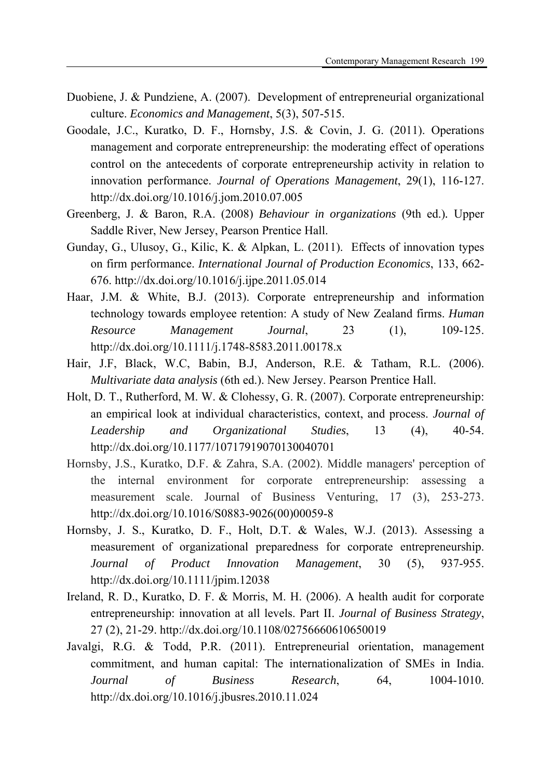- Duobiene, J. & Pundziene, A. (2007). Development of entrepreneurial organizational culture. *Economics and Management*, 5(3), 507-515.
- Goodale, J.C., Kuratko, D. F., Hornsby, J.S. & Covin, J. G. (2011). Operations management and corporate entrepreneurship: the moderating effect of operations control on the antecedents of corporate entrepreneurship activity in relation to innovation performance. *Journal of Operations Management*, 29(1), 116-127. http://dx.doi.org/10.1016/j.jom.2010.07.005
- Greenberg, J. & Baron, R.A. (2008) *Behaviour in organizations* (9th ed.)*.* Upper Saddle River, New Jersey, Pearson Prentice Hall.
- Gunday, G., Ulusoy, G., Kilic, K. & Alpkan, L. (2011). Effects of innovation types on firm performance. *International Journal of Production Economics*, 133, 662- 676. http://dx.doi.org/10.1016/j.ijpe.2011.05.014
- Haar, J.M. & White, B.J. (2013). Corporate entrepreneurship and information technology towards employee retention: A study of New Zealand firms. *Human Resource Management Journal*, 23 (1), 109-125. http://dx.doi.org/10.1111/j.1748-8583.2011.00178.x
- Hair, J.F, Black, W.C, Babin, B.J, Anderson, R.E. & Tatham, R.L. (2006). *Multivariate data analysis* (6th ed.). New Jersey. Pearson Prentice Hall.
- Holt, D. T., Rutherford, M. W. & Clohessy, G. R. (2007). Corporate entrepreneurship: an empirical look at individual characteristics, context, and process. *Journal of Leadership and Organizational Studies*, 13 (4), 40-54. http://dx.doi.org/10.1177/10717919070130040701
- Hornsby, J.S., Kuratko, D.F. & Zahra, S.A. (2002). Middle managers' perception of the internal environment for corporate entrepreneurship: assessing a measurement scale. Journal of Business Venturing, 17 (3), 253-273. http://dx.doi.org/10.1016/S0883-9026(00)00059-8
- Hornsby, J. S., Kuratko, D. F., Holt, D.T. & Wales, W.J. (2013). Assessing a measurement of organizational preparedness for corporate entrepreneurship. *Journal of Product Innovation Management*, 30 (5), 937-955. http://dx.doi.org/10.1111/jpim.12038
- Ireland, R. D., Kuratko, D. F. & Morris, M. H. (2006). A health audit for corporate entrepreneurship: innovation at all levels. Part II. *Journal of Business Strategy*, 27 (2), 21-29. http://dx.doi.org/10.1108/02756660610650019
- Javalgi, R.G. & Todd, P.R. (2011). Entrepreneurial orientation, management commitment, and human capital: The internationalization of SMEs in India. *Journal of Business Research*, 64, 1004-1010. http://dx.doi.org/10.1016/j.jbusres.2010.11.024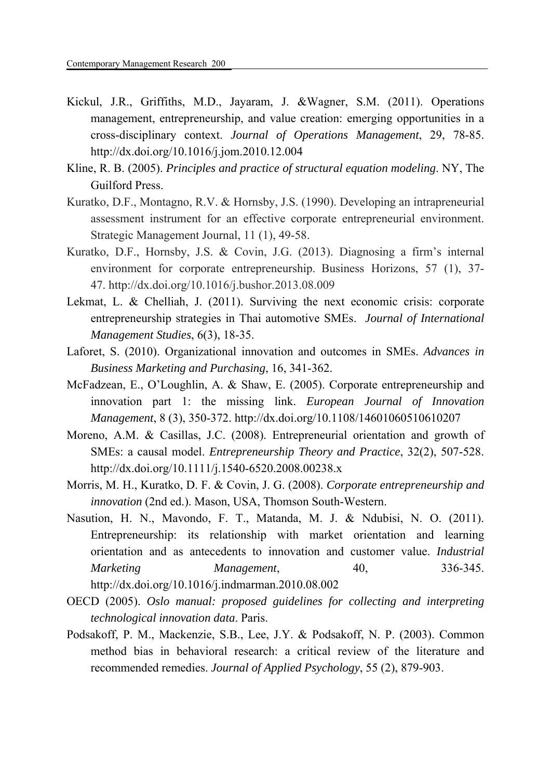- Kickul, J.R., Griffiths, M.D., Jayaram, J. &Wagner, S.M. (2011). Operations management, entrepreneurship, and value creation: emerging opportunities in a cross-disciplinary context. *Journal of Operations Management*, 29, 78-85. http://dx.doi.org/10.1016/j.jom.2010.12.004
- Kline, R. B. (2005). *Principles and practice of structural equation modeling*. NY, The Guilford Press.
- Kuratko, D.F., Montagno, R.V. & Hornsby, J.S. (1990). Developing an intrapreneurial assessment instrument for an effective corporate entrepreneurial environment. Strategic Management Journal, 11 (1), 49-58.
- Kuratko, D.F., Hornsby, J.S. & Covin, J.G. (2013). Diagnosing a firm's internal environment for corporate entrepreneurship. Business Horizons, 57 (1), 37- 47. http://dx.doi.org/10.1016/j.bushor.2013.08.009
- Lekmat, L. & Chelliah, J. (2011). Surviving the next economic crisis: corporate entrepreneurship strategies in Thai automotive SMEs. *Journal of International Management Studies*, 6(3), 18-35.
- Laforet, S. (2010). Organizational innovation and outcomes in SMEs. *Advances in Business Marketing and Purchasing*, 16, 341-362.
- McFadzean, E., O'Loughlin, A. & Shaw, E. (2005). Corporate entrepreneurship and innovation part 1: the missing link. *European Journal of Innovation Management*, 8 (3), 350-372. http://dx.doi.org/10.1108/14601060510610207
- Moreno, A.M. & Casillas, J.C. (2008). Entrepreneurial orientation and growth of SMEs: a causal model. *Entrepreneurship Theory and Practice*, 32(2), 507-528. http://dx.doi.org/10.1111/j.1540-6520.2008.00238.x
- Morris, M. H., Kuratko, D. F. & Covin, J. G. (2008). *Corporate entrepreneurship and innovation* (2nd ed.). Mason, USA, Thomson South-Western.
- Nasution, H. N., Mavondo, F. T., Matanda, M. J. & Ndubisi, N. O. (2011). Entrepreneurship: its relationship with market orientation and learning orientation and as antecedents to innovation and customer value. *Industrial Marketing Management*, 40, 336-345. http://dx.doi.org/10.1016/j.indmarman.2010.08.002
- OECD (2005). *Oslo manual: proposed guidelines for collecting and interpreting technological innovation data*. Paris.
- Podsakoff, P. M., Mackenzie, S.B., Lee, J.Y. & Podsakoff, N. P. (2003). Common method bias in behavioral research: a critical review of the literature and recommended remedies. *Journal of Applied Psychology*, 55 (2), 879-903.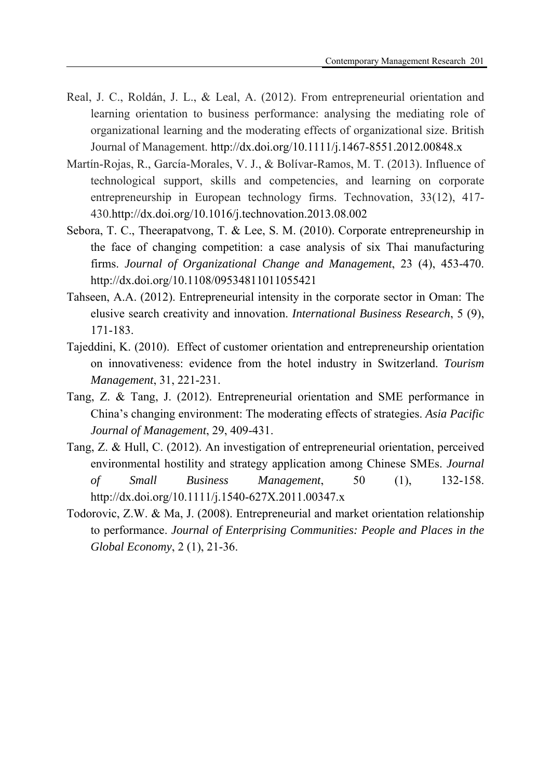- Real, J. C., Roldán, J. L., & Leal, A. (2012). From entrepreneurial orientation and learning orientation to business performance: analysing the mediating role of organizational learning and the moderating effects of organizational size. British Journal of Management. http://dx.doi.org/10.1111/j.1467-8551.2012.00848.x
- Martín-Rojas, R., García-Morales, V. J., & Bolívar-Ramos, M. T. (2013). Influence of technological support, skills and competencies, and learning on corporate entrepreneurship in European technology firms. Technovation, 33(12), 417- 430.http://dx.doi.org/10.1016/j.technovation.2013.08.002
- Sebora, T. C., Theerapatvong, T. & Lee, S. M. (2010). Corporate entrepreneurship in the face of changing competition: a case analysis of six Thai manufacturing firms. *Journal of Organizational Change and Management*, 23 (4), 453-470. http://dx.doi.org/10.1108/09534811011055421
- Tahseen, A.A. (2012). Entrepreneurial intensity in the corporate sector in Oman: The elusive search creativity and innovation. *International Business Research*, 5 (9), 171-183.
- Tajeddini, K. (2010). Effect of customer orientation and entrepreneurship orientation on innovativeness: evidence from the hotel industry in Switzerland. *Tourism Management*, 31, 221-231.
- Tang, Z. & Tang, J. (2012). Entrepreneurial orientation and SME performance in China's changing environment: The moderating effects of strategies. *Asia Pacific Journal of Management*, 29, 409-431.
- Tang, Z. & Hull, C. (2012). An investigation of entrepreneurial orientation, perceived environmental hostility and strategy application among Chinese SMEs. *Journal of Small Business Management*, 50 (1), 132-158. http://dx.doi.org/10.1111/j.1540-627X.2011.00347.x
- Todorovic, Z.W. & Ma, J. (2008). Entrepreneurial and market orientation relationship to performance. *Journal of Enterprising Communities: People and Places in the Global Economy*, 2 (1), 21-36.